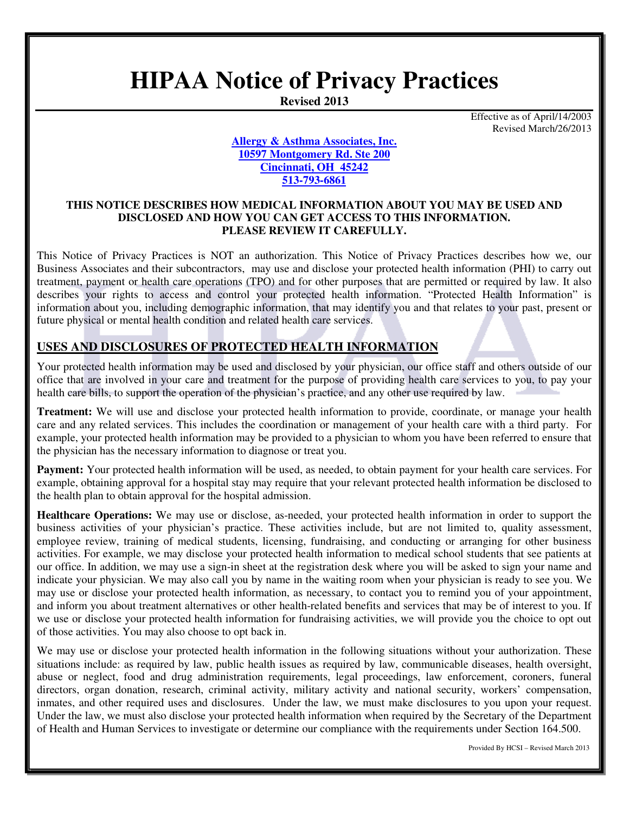# **HIPAA Notice of Privacy Practices**

**Revised 2013** 

Effective as of April/14/2003 Revised March/26/2013

**Allergy & Asthma Associates, Inc. 10597 Montgomery Rd. Ste 200 Cincinnati, OH 45242 513-793-6861** 

#### **THIS NOTICE DESCRIBES HOW MEDICAL INFORMATION ABOUT YOU MAY BE USED AND DISCLOSED AND HOW YOU CAN GET ACCESS TO THIS INFORMATION. PLEASE REVIEW IT CAREFULLY.**

This Notice of Privacy Practices is NOT an authorization. This Notice of Privacy Practices describes how we, our Business Associates and their subcontractors, may use and disclose your protected health information (PHI) to carry out treatment, payment or health care operations (TPO) and for other purposes that are permitted or required by law. It also describes your rights to access and control your protected health information. "Protected Health Information" is information about you, including demographic information, that may identify you and that relates to your past, present or future physical or mental health condition and related health care services.

# **USES AND DISCLOSURES OF PROTECTED HEALTH INFORMATION**

Your protected health information may be used and disclosed by your physician, our office staff and others outside of our office that are involved in your care and treatment for the purpose of providing health care services to you, to pay your health care bills, to support the operation of the physician's practice, and any other use required by law.

**Treatment:** We will use and disclose your protected health information to provide, coordinate, or manage your health care and any related services. This includes the coordination or management of your health care with a third party. For example, your protected health information may be provided to a physician to whom you have been referred to ensure that the physician has the necessary information to diagnose or treat you.

**Payment:** Your protected health information will be used, as needed, to obtain payment for your health care services. For example, obtaining approval for a hospital stay may require that your relevant protected health information be disclosed to the health plan to obtain approval for the hospital admission.

**Healthcare Operations:** We may use or disclose, as-needed, your protected health information in order to support the business activities of your physician's practice. These activities include, but are not limited to, quality assessment, employee review, training of medical students, licensing, fundraising, and conducting or arranging for other business activities. For example, we may disclose your protected health information to medical school students that see patients at our office. In addition, we may use a sign-in sheet at the registration desk where you will be asked to sign your name and indicate your physician. We may also call you by name in the waiting room when your physician is ready to see you. We may use or disclose your protected health information, as necessary, to contact you to remind you of your appointment, and inform you about treatment alternatives or other health-related benefits and services that may be of interest to you. If we use or disclose your protected health information for fundraising activities, we will provide you the choice to opt out of those activities. You may also choose to opt back in.

We may use or disclose your protected health information in the following situations without your authorization. These situations include: as required by law, public health issues as required by law, communicable diseases, health oversight, abuse or neglect, food and drug administration requirements, legal proceedings, law enforcement, coroners, funeral directors, organ donation, research, criminal activity, military activity and national security, workers' compensation, inmates, and other required uses and disclosures. Under the law, we must make disclosures to you upon your request. Under the law, we must also disclose your protected health information when required by the Secretary of the Department of Health and Human Services to investigate or determine our compliance with the requirements under Section 164.500.

Provided By HCSI – Revised March 2013